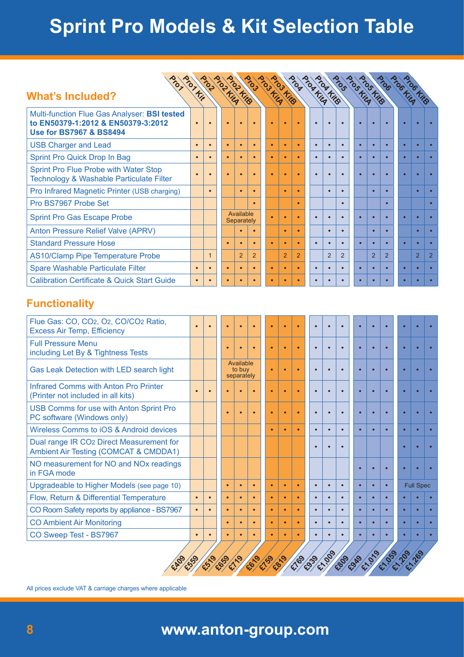## **Sprint Pro Models & Kit Selection Table**

| Multi-function Flue Gas Analyser: BSI tested<br>to EN50379-1:2012 & EN50379-3:2012<br><b>Use for BS7967 &amp; BS8494</b> | $\bullet$ |              |                                   | Prop KitA      | <b>Proprietiga</b> | <b>Progressing</b> | <b>Progression</b> |                | <b>Programs</b> | <b>Programs</b> |                | <b>Prosting</b> | Prostrig       |                | <b>Prochting</b> | <b>Procfits</b>  |                |
|--------------------------------------------------------------------------------------------------------------------------|-----------|--------------|-----------------------------------|----------------|--------------------|--------------------|--------------------|----------------|-----------------|-----------------|----------------|-----------------|----------------|----------------|------------------|------------------|----------------|
|                                                                                                                          |           |              |                                   | $\bullet$      |                    |                    | $\bullet$          |                |                 |                 |                |                 |                |                |                  |                  |                |
| <b>USB Charger and Lead</b>                                                                                              | $\bullet$ | $\bullet$    | $\bullet$                         | $\bullet$      | $\bullet$          | $\bullet$          | $\bullet$          | $\bullet$      | $\bullet$       | $\bullet$       | $\bullet$      | $\bullet$       | $\bullet$      | $\bullet$      |                  | $\bullet$        |                |
| Sprint Pro Quick Drop In Bag                                                                                             | $\bullet$ |              | $\bullet$                         | $\bullet$      |                    | $\bullet$          | $\bullet$          | $\bullet$      |                 | $\bullet$       |                |                 | $\bullet$      |                |                  | $\bullet$        |                |
| Sprint Pro Flue Probe with Water Stop<br>Technology & Washable Particulate Filter                                        | $\bullet$ |              |                                   | $\bullet$      |                    |                    | $\bullet$          | $\bullet$      |                 | $\bullet$       |                |                 | $\bullet$      |                |                  | ٠                |                |
| Pro Infrared Magnetic Printer (USB charging)                                                                             |           |              |                                   | $\bullet$      | $\bullet$          |                    | $\bullet$          | $\bullet$      |                 | $\bullet$       |                |                 | $\bullet$      |                |                  | $\bullet$        |                |
| Pro BS7967 Probe Set                                                                                                     |           |              |                                   |                | $\bullet$          |                    |                    | $\bullet$      |                 |                 | $\bullet$      |                 |                | ٠              |                  |                  |                |
| <b>Sprint Pro Gas Escape Probe</b>                                                                                       |           |              | Available<br>Separately           |                |                    | $\bullet$          | $\bullet$          | $\bullet$      | $\bullet$       | $\bullet$       | $\bullet$      |                 | $\bullet$      |                |                  | $\bullet$        |                |
| Anton Pressure Relief Valve (APRV)                                                                                       |           |              |                                   | $\bullet$      |                    |                    | $\bullet$          | $\bullet$      |                 | $\bullet$       |                |                 | $\bullet$      |                |                  | $\bullet$        |                |
| <b>Standard Pressure Hose</b>                                                                                            |           |              | $\bullet$                         | $\bullet$      | $\bullet$          | $\bullet$          | $\bullet$          | $\bullet$      | $\bullet$       | $\bullet$       | $\bullet$      | $\bullet$       | $\bullet$      | $\bullet$      |                  | $\bullet$        |                |
| <b>AS10/Clamp Pipe Temperature Probe</b>                                                                                 |           | $\mathbf{1}$ |                                   | $\overline{2}$ | $\overline{2}$     |                    | $\overline{2}$     | $\overline{2}$ |                 | $\overline{2}$  | $\overline{2}$ |                 | $\overline{2}$ | $\overline{2}$ |                  | $\overline{2}$   | $\overline{2}$ |
| <b>Spare Washable Particulate Filter</b>                                                                                 | $\bullet$ | $\bullet$    | $\bullet$                         | $\bullet$      | $\bullet$          | $\bullet$          | $\bullet$          | $\bullet$      | $\bullet$       | $\bullet$       | $\bullet$      | $\bullet$       | $\bullet$      |                |                  | $\bullet$        |                |
| <b>Calibration Certificate &amp; Quick Start Guide</b>                                                                   | $\bullet$ |              | $\bullet$                         | $\bullet$      | $\bullet$          | $\bullet$          | $\bullet$          | $\bullet$      | $\bullet$       |                 |                |                 |                |                |                  |                  |                |
| <b>Functionality</b><br>Flue Gas: CO, CO2, O2, CO/CO2 Ratio,<br><b>Excess Air Temp, Efficiency</b>                       |           | $\bullet$    | $\bullet$                         | $\bullet$      | $\bullet$          | $\bullet$          | $\bullet$          | $\bullet$      | $\bullet$       | $\bullet$       | $\bullet$      | $\bullet$       |                | $\bullet$      |                  | $\bullet$        |                |
| <b>Full Pressure Menu</b><br>including Let By & Tightness Tests                                                          |           |              |                                   |                |                    |                    | $\bullet$          |                |                 | $\bullet$       |                |                 | ō              |                |                  | $\bullet$        |                |
| Gas Leak Detection with LED search light                                                                                 |           |              | Available<br>to buy<br>separately |                |                    | $\bullet$          | $\bullet$          | $\bullet$      | $\bullet$       | $\bullet$       | $\bullet$      | $\bullet$       | $\bullet$      | $\bullet$      |                  | $\bullet$        |                |
| <b>Infrared Comms with Anton Pro Printer</b><br>(Printer not included in all kits)                                       | $\bullet$ | $\bullet$    |                                   |                |                    | $\bullet$          | $\bullet$          | $\bullet$      |                 | $\bullet$       | $\bullet$      |                 | $\bullet$      | $\bullet$      |                  | $\bullet$        |                |
| <b>USB Comms for use with Anton Sprint Pro</b><br>PC software (Windows only)                                             |           |              | $\bullet$                         | $\bullet$      | $\bullet$          |                    | $\bullet$          |                |                 | $\bullet$       | $\bullet$      |                 |                |                |                  |                  |                |
| Wireless Comms to iOS & Android devices                                                                                  |           |              |                                   |                |                    |                    |                    |                |                 |                 |                |                 |                |                |                  |                  |                |
| Dual range IR CO <sub>2</sub> Direct Measurement for<br><b>Ambient Air Testing (COMCAT &amp; CMDDA1)</b>                 |           |              |                                   |                |                    |                    |                    |                |                 | $\bullet$       |                |                 |                |                |                  |                  |                |
| NO measurement for NO and NO <sub>x</sub> readings<br>in FGA mode                                                        |           |              |                                   |                |                    |                    |                    |                |                 |                 |                |                 |                |                |                  |                  |                |
| Upgradeable to Higher Models (see page 10)                                                                               |           |              |                                   | $\bullet$      |                    |                    | $\bullet$          |                | $\bullet$       | $\bullet$       | $\bullet$      | $\bullet$       | $\bullet$      |                |                  | <b>Full Spec</b> |                |
| Flow, Return & Differential Temperature                                                                                  | $\bullet$ | $\bullet$    | $\bullet$                         | $\bullet$      | $\bullet$          | $\bullet$          | $\bullet$          |                |                 |                 |                |                 |                |                |                  |                  |                |
| CO Room Safety reports by appliance - BS7967                                                                             | $\bullet$ | $\bullet$    | $\bullet$                         | $\bullet$      | $\bullet$          | $\bullet$          | $\bullet$          | $\bullet$      | $\bullet$       | $\bullet$       | $\bullet$      |                 | $\bullet$      | $\bullet$      |                  | $\bullet$        |                |
| <b>CO Ambient Air Monitoring</b>                                                                                         |           |              | $\bullet$                         | $\bullet$      |                    | $\bullet$          | $\bullet$          |                | $\bullet$       |                 |                |                 |                |                |                  | $\bullet$        |                |
| CO Sweep Test - BS7967                                                                                                   | $\bullet$ |              |                                   | $\bullet$      |                    |                    | $\bullet$          |                | $\bullet$       | $\bullet$       |                |                 |                |                |                  | $\bullet$        |                |

All prices exclude VAT & carriage charges where applicable

## **8 www.anton-group.com sales@anton-group.com**